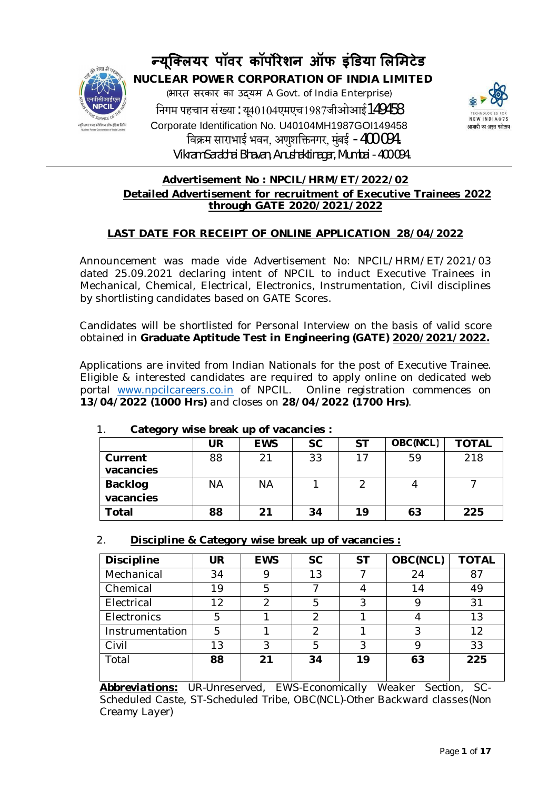

# **Û यूिÈलयर पॉवर कॉपȾरेशन ऑफ इंͫडया ͧलͧमटेड**

 **NUCLEAR POWER CORPORATION OF INDIA LIMITED** (भारत सरकार का उɮयम A Govt. of India Enterprise) निगम पहचान संख्या: यू40104एमएच1987जीओआई149458 Corporate Identification No. U40104MH1987GOI149458 िवøम साराभाई भवन, अणुशिĉनगर, मुंबई -400 094. Vikram Sarabhai Bhavan, Anushaktinagar, Mumbai -400 094.



# **Advertisement No : NPCIL/HRM/ET/2022/02 Detailed Advertisement for recruitment of Executive Trainees 2022 through GATE 2020/2021/2022**

# **LAST DATE FOR RECEIPT OF ONLINE APPLICATION 28/04/2022**

Announcement was made vide Advertisement No: NPCIL/HRM/ET/2021/03 dated 25.09.2021 declaring intent of NPCIL to induct Executive Trainees in Mechanical, Chemical, Electrical, Electronics, Instrumentation, Civil disciplines by shortlisting candidates based on GATE Scores.

Candidates will be shortlisted for Personal Interview on the basis of valid score obtained in **Graduate Aptitude Test in Engineering (GATE) 2020/2021/2022.**

Applications are invited from Indian Nationals for the post of Executive Trainee. Eligible & interested candidates are required to apply online on dedicated web portal www.npcilcareers.co.in of NPCIL. Online registration commences on **13/04/2022 (1000 Hrs)** and closes on **28/04/2022 (1700 Hrs)**.

| ້                    | UR | <b>EWS</b> | <b>SC</b> | <b>ST</b> | OBC(NCL) | <b>TOTAL</b> |
|----------------------|----|------------|-----------|-----------|----------|--------------|
| Current<br>vacancies | 88 | 21         | 33        |           | 59       | 218          |
| <b>Backlog</b>       | ΝA | <b>NA</b>  |           |           |          |              |
| vacancies            |    |            |           |           |          |              |
| Total                | 88 | 21         | 34        | 19        | 63       | 225          |

# 1. **Category wise break up of vacancies :**

# 2. **Discipline & Category wise break up of vacancies :**

| UR | <b>EWS</b>    | <b>SC</b>     | <b>ST</b> | OBC(NCL) | <b>TOTAL</b> |
|----|---------------|---------------|-----------|----------|--------------|
| 34 | 9             | 13            |           | 24       | 87           |
| 19 | 5             |               |           | 14       | 49           |
| 12 | $\mathcal{P}$ | 5             | 3         | Q        | 31           |
| 5  |               | $\mathcal{P}$ |           |          | 13           |
| 5  |               | っ             |           | 3        | 12           |
| 13 | 3             | 5             | 3         | Q        | 33           |
| 88 | 21            | 34            | 19        | 63       | 225          |
|    |               |               |           |          |              |

*Abbreviations: UR-Unreserved, EWS-Economically Weaker Section, SC-Scheduled Caste, ST-Scheduled Tribe, OBC(NCL)-Other Backward classes(Non Creamy Layer)*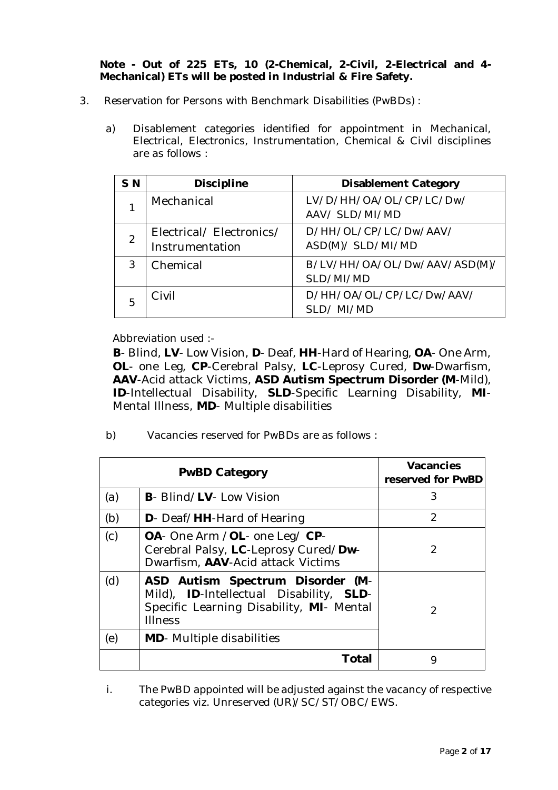## **Note - Out of 225 ETs, 10 (2-Chemical, 2-Civil, 2-Electrical and 4- Mechanical) ETs will be posted in Industrial & Fire Safety.**

- 3. Reservation for Persons with Benchmark Disabilities (PwBDs) :
	- a) Disablement categories identified for appointment in Mechanical, Electrical, Electronics, Instrumentation, Chemical & Civil disciplines are as follows :

| S N           | <b>Discipline</b>                          | <b>Disablement Category</b>                |
|---------------|--------------------------------------------|--------------------------------------------|
|               | Mechanical                                 | LV/D/HH/OA/OL/CP/LC/Dw/<br>AAV/ SLD/MI/MD  |
| $\mathcal{D}$ | Electrical/Electronics/<br>Instrumentation | D/HH/OL/CP/LC/Dw/AAV/<br>ASD(M)/ SLD/MI/MD |
| 3             | Chemical                                   | B/LV/HH/OA/OL/Dw/AAV/ASD(M)/<br>SLD/MI/MD  |
| 5             | Civil                                      | D/HH/OA/OL/CP/LC/Dw/AAV/<br>SLD/MI/MD      |

Abbreviation used :-

**B**- Blind, **LV**- Low Vision, **D**- Deaf, **HH**-Hard of Hearing, **OA**- One Arm, **OL**- one Leg, **CP**-Cerebral Palsy, **LC**-Leprosy Cured, **Dw**-Dwarfism, **AAV**-Acid attack Victims, **ASD Autism Spectrum Disorder (M**-Mild), **ID**-Intellectual Disability, **SLD**-Specific Learning Disability, **MI**-Mental Illness, **MD**- Multiple disabilities

b) Vacancies reserved for PwBDs are as follows :

| <b>PwBD Category</b> |                                                                                                                                           | <b>Vacancies</b><br>reserved for PwBD |
|----------------------|-------------------------------------------------------------------------------------------------------------------------------------------|---------------------------------------|
| (a)                  | <b>B</b> - Blind/LV- Low Vision                                                                                                           | 3                                     |
| (b)                  | D- Deaf/HH-Hard of Hearing                                                                                                                | $\overline{2}$                        |
| (c)                  | OA- One Arm /OL- one Leg/ CP-<br>Cerebral Palsy, LC-Leprosy Cured/Dw-<br>Dwarfism, AAV-Acid attack Victims                                | 2                                     |
| (d)                  | ASD Autism Spectrum Disorder (M-<br>Mild), ID-Intellectual Disability, SLD-<br>Specific Learning Disability, MI- Mental<br><b>Illness</b> | 2                                     |
| (e)                  | <b>MD</b> -Multiple disabilities                                                                                                          |                                       |
|                      | Total                                                                                                                                     | 9                                     |

i. The PwBD appointed will be adjusted against the vacancy of respective categories viz. Unreserved (UR)/SC/ST/OBC/EWS.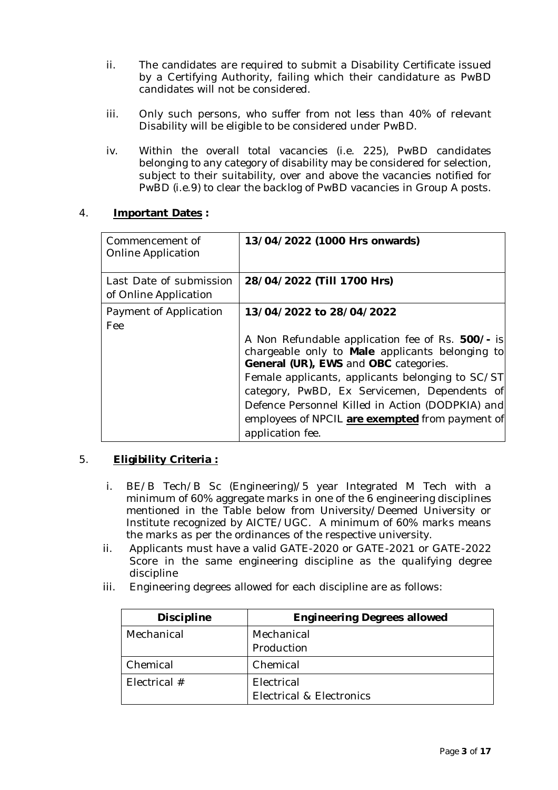- ii. The candidates are required to submit a Disability Certificate issued by a Certifying Authority, failing which their candidature as PwBD candidates will not be considered.
- iii. Only such persons, who suffer from not less than 40% of relevant Disability will be eligible to be considered under PwBD.
- iv. Within the overall total vacancies (i.e. 225), PwBD candidates belonging to any category of disability may be considered for selection, subject to their suitability, over and above the vacancies notified for PwBD (i.e.9) to clear the backlog of PwBD vacancies in Group A posts.

# 4. **Important Dates :**

| Commencement of<br>Online Application            | 13/04/2022 (1000 Hrs onwards)                                                                                                                                                                                                                                                                                                                                                       |
|--------------------------------------------------|-------------------------------------------------------------------------------------------------------------------------------------------------------------------------------------------------------------------------------------------------------------------------------------------------------------------------------------------------------------------------------------|
| Last Date of submission<br>of Online Application | 28/04/2022 (Till 1700 Hrs)                                                                                                                                                                                                                                                                                                                                                          |
| Payment of Application<br>Fee                    | 13/04/2022 to 28/04/2022<br>A Non Refundable application fee of Rs. 500/- is<br>chargeable only to Male applicants belonging to<br>General (UR), EWS and OBC categories.<br>Female applicants, applicants belonging to SC/ST<br>category, PwBD, Ex Servicemen, Dependents of<br>Defence Personnel Killed in Action (DODPKIA) and<br>employees of NPCIL are exempted from payment of |
|                                                  | application fee.                                                                                                                                                                                                                                                                                                                                                                    |

# 5. **Eligibility Criteria :**

- i. BE/B Tech/B Sc (Engineering)/5 year Integrated M Tech with a minimum of 60% aggregate marks in one of the 6 engineering disciplines mentioned in the Table below from University/Deemed University or Institute recognized by AICTE/UGC. A minimum of 60% marks means the marks as per the ordinances of the respective university.
- ii. Applicants must have a valid GATE-2020 or GATE-2021 or GATE-2022 Score in the same engineering discipline as the qualifying degree discipline
- iii. Engineering degrees allowed for each discipline are as follows:

| <b>Discipline</b> | <b>Engineering Degrees allowed</b> |  |
|-------------------|------------------------------------|--|
| Mechanical        | Mechanical                         |  |
|                   | Production                         |  |
| Chemical          | Chemical                           |  |
| Electrical $#$    | Electrical                         |  |
|                   | Electrical & Electronics           |  |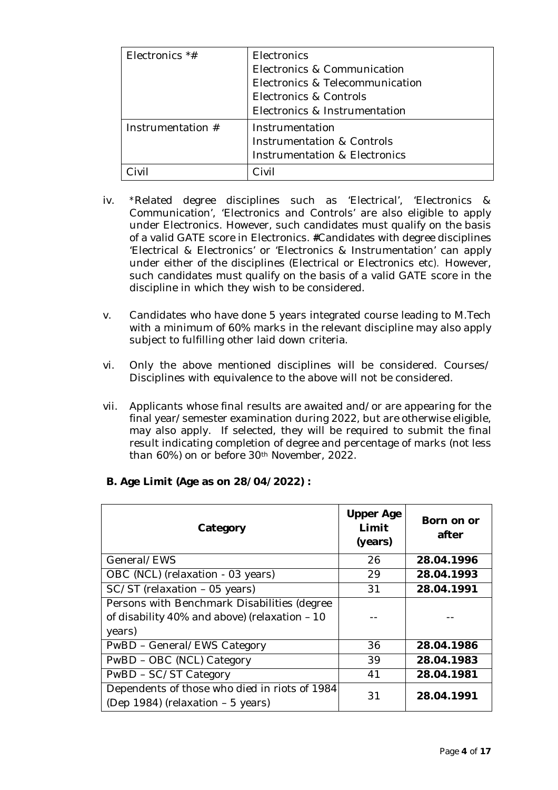| Electronics $*$ #   | Electronics                     |  |
|---------------------|---------------------------------|--|
|                     | Electronics & Communication     |  |
|                     | Electronics & Telecommunication |  |
|                     | Electronics & Controls          |  |
|                     | Electronics & Instrumentation   |  |
| Instrumentation $#$ | Instrumentation                 |  |
|                     | Instrumentation & Controls      |  |
|                     | Instrumentation & Electronics   |  |
|                     | ≧ivil                           |  |

- iv. \*Related degree disciplines such as 'Electrical', 'Electronics & Communication', 'Electronics and Controls' are also eligible to apply under Electronics. However, such candidates must qualify on the basis of a valid GATE score in Electronics. **#**Candidates with degree disciplines 'Electrical & Electronics' or 'Electronics & Instrumentation' can apply under either of the disciplines (Electrical or Electronics etc). However, such candidates must qualify on the basis of a valid GATE score in the discipline in which they wish to be considered.
- v. Candidates who have done 5 years integrated course leading to M.Tech with a minimum of 60% marks in the relevant discipline may also apply subject to fulfilling other laid down criteria.
- vi. Only the above mentioned disciplines will be considered. Courses/ Disciplines with equivalence to the above will not be considered.
- vii. Applicants whose final results are awaited and/or are appearing for the final year/semester examination during 2022, but are otherwise eligible, may also apply. If selected, they will be required to submit the final result indicating completion of degree and percentage of marks (not less than 60%) on or before 30th November, 2022.

| Category                                                                                               | <b>Upper Age</b><br>Limit<br>(years) | Born on or<br>after |
|--------------------------------------------------------------------------------------------------------|--------------------------------------|---------------------|
| General/EWS                                                                                            | 26                                   | 28.04.1996          |
| OBC (NCL) (relaxation - 03 years)                                                                      | 29                                   | 28.04.1993          |
| SC/ST (relaxation - 05 years)                                                                          | 31                                   | 28.04.1991          |
| Persons with Benchmark Disabilities (degree<br>of disability 40% and above) (relaxation - 10<br>years) |                                      |                     |
| PwBD - General/EWS Category                                                                            | 36                                   | 28.04.1986          |
| PwBD - OBC (NCL) Category                                                                              | 39                                   | 28.04.1983          |
| PwBD - SC/ST Category                                                                                  | 41                                   | 28.04.1981          |
| Dependents of those who died in riots of 1984<br>(Dep 1984) (relaxation - 5 years)                     | 31                                   | 28.04.1991          |

# **B. Age Limit (Age as on 28/04/2022) :**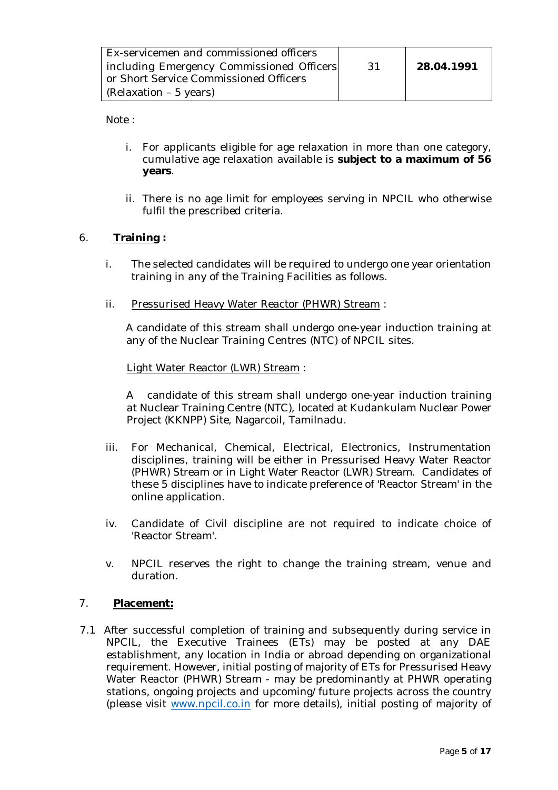| Ex-servicemen and commissioned officers   |     |            |
|-------------------------------------------|-----|------------|
| including Emergency Commissioned Officers | -31 | 28.04.1991 |
| or Short Service Commissioned Officers    |     |            |
| (Relaxation – 5 years)                    |     |            |

Note :

- i. For applicants eligible for age relaxation in more than one category, cumulative age relaxation available is **subject to a maximum of 56 years**.
- ii. There is no age limit for employees serving in NPCIL who otherwise fulfil the prescribed criteria.

# 6. **Training :**

- i. The selected candidates will be required to undergo one year orientation training in any of the Training Facilities as follows.
- ii. Pressurised Heavy Water Reactor (PHWR) Stream :

 A candidate of this stream shall undergo one-year induction training at any of the Nuclear Training Centres (NTC) of NPCIL sites.

Light Water Reactor (LWR) Stream :

A candidate of this stream shall undergo one-year induction training at Nuclear Training Centre (NTC), located at Kudankulam Nuclear Power Project (KKNPP) Site, Nagarcoil, Tamilnadu.

- iii. For Mechanical, Chemical, Electrical, Electronics, Instrumentation disciplines, training will be either in Pressurised Heavy Water Reactor (PHWR) Stream or in Light Water Reactor (LWR) Stream. Candidates of these 5 disciplines have to indicate preference of 'Reactor Stream' in the online application.
- iv. Candidate of Civil discipline are not required to indicate choice of 'Reactor Stream'.
- v. NPCIL reserves the right to change the training stream, venue and duration.

# 7. **Placement:**

7.1 After successful completion of training and subsequently during service in NPCIL, the Executive Trainees (ETs) may be posted at any DAE establishment, any location in India or abroad depending on organizational requirement. However, initial posting of majority of ETs for Pressurised Heavy Water Reactor (PHWR) Stream - may be predominantly at PHWR operating stations, ongoing projects and upcoming/future projects across the country (please visit www.npcil.co.in for more details), initial posting of majority of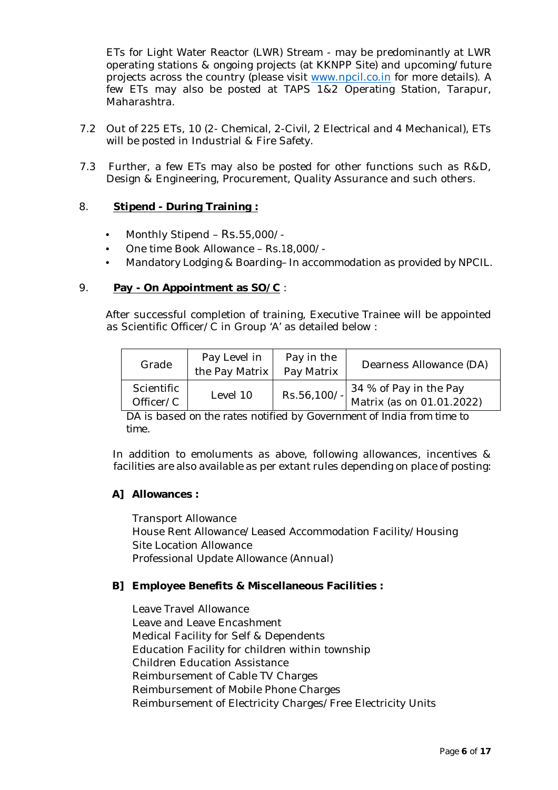ETs for Light Water Reactor (LWR) Stream - may be predominantly at LWR operating stations & ongoing projects (at KKNPP Site) and upcoming/future projects across the country (please visit www.npcil.co.in for more details). A few ETs may also be posted at TAPS 1&2 Operating Station, Tarapur, Maharashtra.

- 7.2 Out of 225 ETs, 10 (2- Chemical, 2-Civil, 2 Electrical and 4 Mechanical), ETs will be posted in Industrial & Fire Safety.
- 7.3 Further, a few ETs may also be posted for other functions such as R&D, Design & Engineering, Procurement, Quality Assurance and such others.

## 8. **Stipend - During Training :**

- Monthly Stipend Rs.55,000/-
- One time Book Allowance Rs.18,000/-
- Mandatory Lodging & Boarding– In accommodation as provided by NPCIL.

## 9. **Pay - On Appointment as SO/C** :

After successful completion of training, Executive Trainee will be appointed as Scientific Officer/C in Group 'A' as detailed below :

| Grade                   | Pay Level in<br>the Pay Matrix | Pay in the<br>Pay Matrix | Dearness Allowance (DA)                                       |
|-------------------------|--------------------------------|--------------------------|---------------------------------------------------------------|
| Scientific<br>Officer/C | Level 10                       | Rs.56,100/-              | $\vert$ 34 % of Pay in the Pay<br>  Matrix (as on 01.01.2022) |

*DA is based on the rates notified by Government of India from time to time.* 

In addition to emoluments as above, following allowances, incentives & facilities are also available as per extant rules depending on place of posting:

#### **A] Allowances :**

Transport Allowance House Rent Allowance/Leased Accommodation Facility/Housing Site Location Allowance Professional Update Allowance (Annual)

#### **B] Employee Benefits & Miscellaneous Facilities :**

Leave Travel Allowance Leave and Leave Encashment Medical Facility for Self & Dependents Education Facility for children within township Children Education Assistance Reimbursement of Cable TV Charges Reimbursement of Mobile Phone Charges Reimbursement of Electricity Charges/Free Electricity Units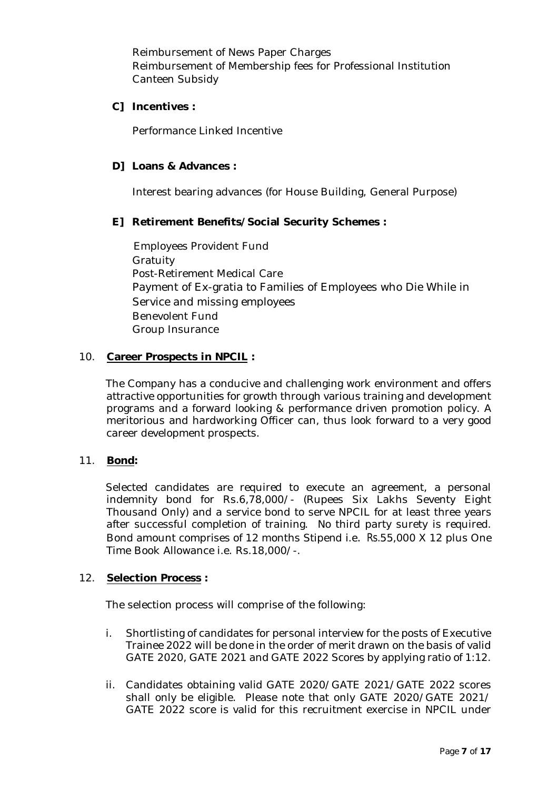Reimbursement of News Paper Charges Reimbursement of Membership fees for Professional Institution Canteen Subsidy

## **C] Incentives :**

Performance Linked Incentive

## **D] Loans & Advances :**

Interest bearing advances (for House Building, General Purpose)

# **E] Retirement Benefits/Social Security Schemes :**

Employees Provident Fund Gratuity Post-Retirement Medical Care Payment of Ex-gratia to Families of Employees who Die While in Service and missing employees Benevolent Fund Group Insurance

## 10. **Career Prospects in NPCIL :**

The Company has a conducive and challenging work environment and offers attractive opportunities for growth through various training and development programs and a forward looking & performance driven promotion policy. A meritorious and hardworking Officer can, thus look forward to a very good career development prospects.

#### 11. **Bond:**

Selected candidates are required to execute an agreement, a personal indemnity bond for Rs.6,78,000/- (Rupees Six Lakhs Seventy Eight Thousand Only) and a service bond to serve NPCIL for at least three years after successful completion of training. No third party surety is required. Bond amount comprises of 12 months Stipend i.e. Rs.55,000 X 12 plus One Time Book Allowance i.e. Rs.18,000/-.

#### 12. **Selection Process :**

The selection process will comprise of the following:

- i. Shortlisting of candidates for personal interview for the posts of Executive Trainee 2022 will be done in the order of merit drawn on the basis of valid GATE 2020, GATE 2021 and GATE 2022 Scores by applying ratio of 1:12.
- ii. Candidates obtaining valid GATE 2020/GATE 2021/GATE 2022 scores shall only be eligible. Please note that only GATE 2020/GATE 2021/ GATE 2022 score is valid for this recruitment exercise in NPCIL under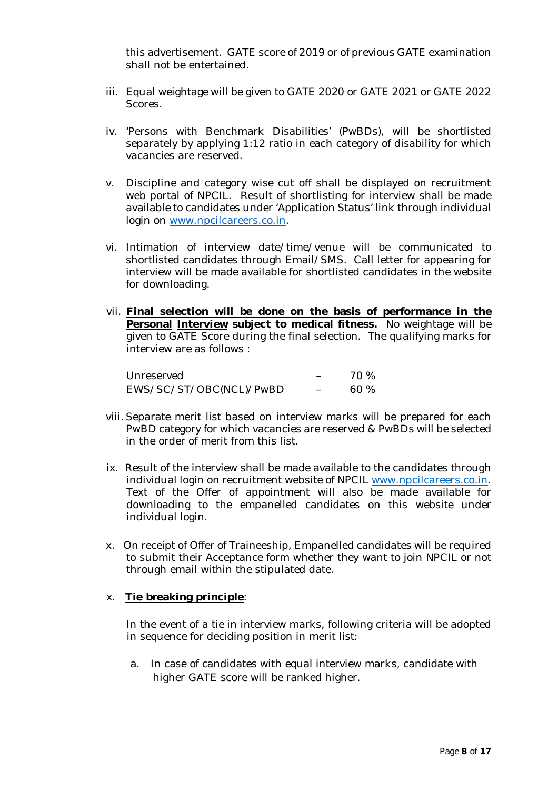this advertisement. GATE score of 2019 or of previous GATE examination shall not be entertained.

- iii. Equal weightage will be given to GATE 2020 or GATE 2021 or GATE 2022 Scores.
- iv. 'Persons with Benchmark Disabilities' (PwBDs), will be shortlisted separately by applying 1:12 ratio in each category of disability for which vacancies are reserved.
- v. Discipline and category wise cut off shall be displayed on recruitment web portal of NPCIL. Result of shortlisting for interview shall be made available to candidates under 'Application Status' link through individual login on www.npcilcareers.co.in.
- vi. Intimation of interview date/time/venue will be communicated to shortlisted candidates through Email/SMS. Call letter for appearing for interview will be made available for shortlisted candidates in the website for downloading.
- vii. **Final selection will be done on the basis of performance in the Personal Interview subject to medical fitness.** No weightage will be given to GATE Score during the final selection. The qualifying marks for interview are as follows :

Unreserved - 70 %<br>EWS/SC/ST/OBC(NCL)/PwBD - 60 % EWS/SC/ST/OBC(NCL)/PwBD –

- viii. Separate merit list based on interview marks will be prepared for each PwBD category for which vacancies are reserved & PwBDs will be selected in the order of merit from this list.
- ix. Result of the interview shall be made available to the candidates through individual login on recruitment website of NPCIL www.npcilcareers.co.in. Text of the Offer of appointment will also be made available for downloading to the empanelled candidates on this website under individual login.
- x. On receipt of Offer of Traineeship, Empanelled candidates will be required to submit their Acceptance form whether they want to join NPCIL or not through email within the stipulated date.

#### x. **Tie breaking principle**:

In the event of a tie in interview marks, following criteria will be adopted in sequence for deciding position in merit list:

a. In case of candidates with equal interview marks, candidate with higher GATE score will be ranked higher.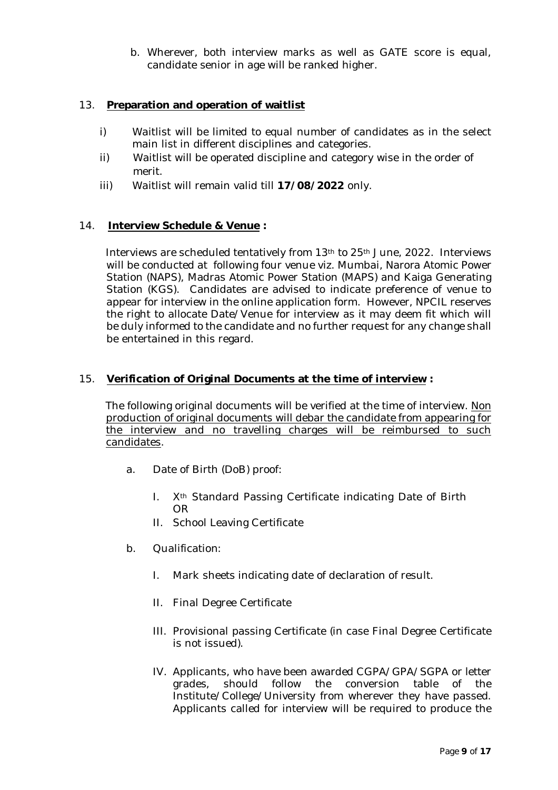b. Wherever, both interview marks as well as GATE score is equal, candidate senior in age will be ranked higher.

#### 13. **Preparation and operation of waitlist**

- i) Waitlist will be limited to equal number of candidates as in the select main list in different disciplines and categories.
- ii) Waitlist will be operated discipline and category wise in the order of merit.
- iii) Waitlist will remain valid till **17/08/2022** only.

#### 14. **Interview Schedule & Venue :**

Interviews are scheduled tentatively from 13th to 25th June, 2022. Interviews will be conducted at following four venue viz. Mumbai, Narora Atomic Power Station (NAPS), Madras Atomic Power Station (MAPS) and Kaiga Generating Station (KGS). Candidates are advised to indicate preference of venue to appear for interview in the online application form. However, NPCIL reserves the right to allocate Date/Venue for interview as it may deem fit which will be duly informed to the candidate and no further request for any change shall be entertained in this regard.

#### 15. **Verification of Original Documents at the time of interview :**

The following original documents will be verified at the time of interview. Non production of original documents will debar the candidate from appearing for the interview and no travelling charges will be reimbursed to such candidates.

- a. Date of Birth (DoB) proof:
	- I. X<sup>th</sup> Standard Passing Certificate indicating Date of Birth OR
	- II. School Leaving Certificate
- b. Qualification:
	- I. Mark sheets indicating date of declaration of result.
	- II. Final Degree Certificate
	- III. Provisional passing Certificate (in case Final Degree Certificate is not issued).
	- IV. Applicants, who have been awarded CGPA/GPA/SGPA or letter grades, should follow the conversion table of the Institute/College/University from wherever they have passed. Applicants called for interview will be required to produce the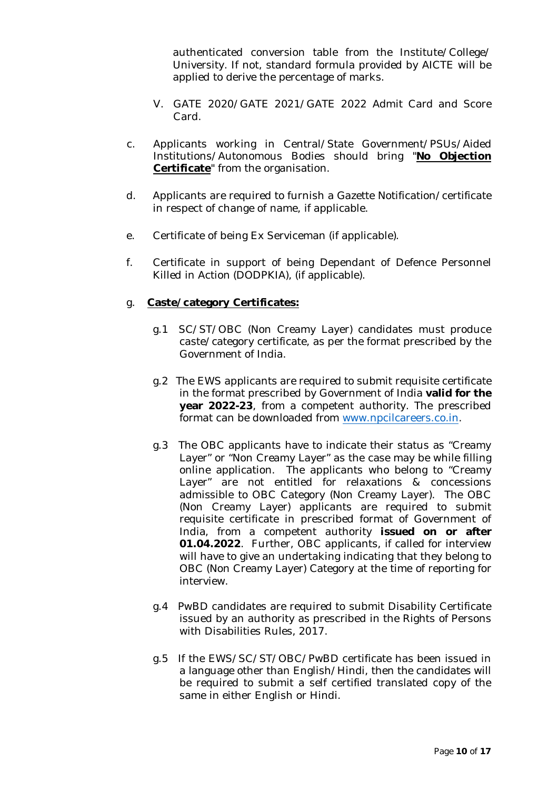authenticated conversion table from the Institute/College/ University. If not, standard formula provided by AICTE will be applied to derive the percentage of marks.

- V. GATE 2020/GATE 2021/GATE 2022 Admit Card and Score Card.
- c. Applicants working in Central/State Government/PSUs/Aided Institutions/Autonomous Bodies should bring "**No Objection Certificate**" from the organisation.
- d. Applicants are required to furnish a Gazette Notification/certificate in respect of change of name, if applicable.
- e. Certificate of being Ex Serviceman (if applicable).
- f. Certificate in support of being Dependant of Defence Personnel Killed in Action (DODPKIA), (if applicable).

## g. **Caste/category Certificates:**

- g.1 SC/ST/OBC (Non Creamy Layer) candidates must produce caste/category certificate, as per the format prescribed by the Government of India.
- g.2 The EWS applicants are required to submit requisite certificate in the format prescribed by Government of India **valid for the year 2022-23**, from a competent authority. The prescribed format can be downloaded from www.npcilcareers.co.in.
- g.3 The OBC applicants have to indicate their status as "Creamy Layer" or "Non Creamy Layer" as the case may be while filling online application. The applicants who belong to "Creamy Layer" are not entitled for relaxations & concessions admissible to OBC Category (Non Creamy Layer). The OBC (Non Creamy Layer) applicants are required to submit requisite certificate in prescribed format of Government of India, from a competent authority **issued on or after 01.04.2022**. Further, OBC applicants, if called for interview will have to give an undertaking indicating that they belong to OBC (Non Creamy Layer) Category at the time of reporting for interview.
- g.4 PwBD candidates are required to submit Disability Certificate issued by an authority as prescribed in the Rights of Persons with Disabilities Rules, 2017.
- g.5 If the EWS/SC/ST/OBC/PwBD certificate has been issued in a language other than English/Hindi, then the candidates will be required to submit a self certified translated copy of the same in either English or Hindi.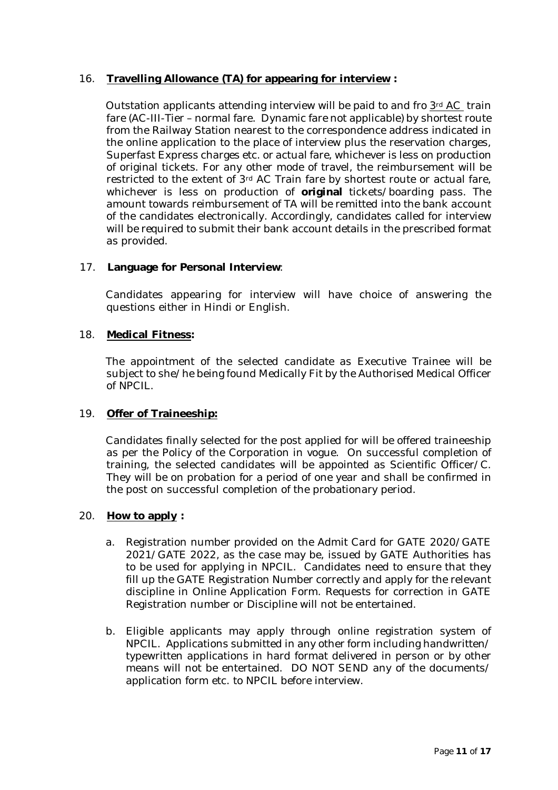## 16. **Travelling Allowance (TA) for appearing for interview :**

Outstation applicants attending interview will be paid to and fro 3rd AC train fare (AC-III-Tier – normal fare. Dynamic fare not applicable) by shortest route from the Railway Station nearest to the correspondence address indicated in the online application to the place of interview plus the reservation charges, Superfast Express charges etc. or actual fare, whichever is less on production of original tickets. For any other mode of travel, the reimbursement will be restricted to the extent of 3rd AC Train fare by shortest route or actual fare, whichever is less on production of **original** tickets/boarding pass. The amount towards reimbursement of TA will be remitted into the bank account of the candidates electronically. Accordingly, candidates called for interview will be required to submit their bank account details in the prescribed format as provided.

## 17. **Language for Personal Interview**:

Candidates appearing for interview will have choice of answering the questions either in Hindi or English.

#### 18. **Medical Fitness:**

The appointment of the selected candidate as Executive Trainee will be subject to she/he being found Medically Fit by the Authorised Medical Officer of NPCIL.

#### 19. **Offer of Traineeship:**

Candidates finally selected for the post applied for will be offered traineeship as per the Policy of the Corporation in vogue. On successful completion of training, the selected candidates will be appointed as Scientific Officer/C. They will be on probation for a period of one year and shall be confirmed in the post on successful completion of the probationary period.

#### 20. **How to apply :**

- a. Registration number provided on the Admit Card for GATE 2020/GATE 2021/GATE 2022, as the case may be, issued by GATE Authorities has to be used for applying in NPCIL. Candidates need to ensure that they fill up the GATE Registration Number correctly and apply for the relevant discipline in Online Application Form. Requests for correction in GATE Registration number or Discipline will not be entertained.
- b. Eligible applicants may apply through online registration system of NPCIL. Applications submitted in any other form including handwritten/ typewritten applications in hard format delivered in person or by other means will not be entertained. DO NOT SEND any of the documents/ application form etc. to NPCIL before interview.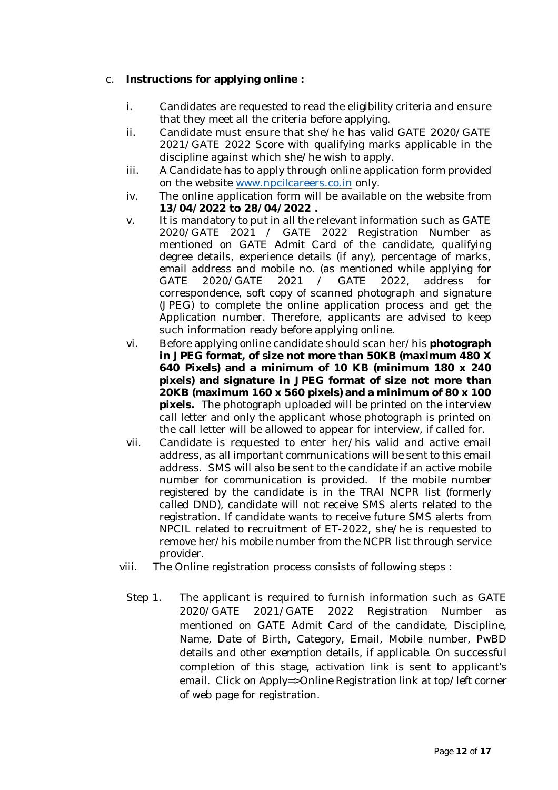# c. **Instructions for applying online :**

- i. Candidates are requested to read the eligibility criteria and ensure that they meet all the criteria before applying.
- ii. Candidate must ensure that she/he has valid GATE 2020/GATE 2021/GATE 2022 Score with qualifying marks applicable in the discipline against which she/he wish to apply.
- iii. A Candidate has to apply through online application form provided on the website www.npcilcareers.co.in only.
- iv. The online application form will be available on the website from **13/04/2022 to 28/04/2022 .**
- v. It is mandatory to put in all the relevant information such as GATE 2020/GATE 2021 / GATE 2022 Registration Number as mentioned on GATE Admit Card of the candidate, qualifying degree details, experience details (if any), percentage of marks, email address and mobile no. (as mentioned while applying for GATE 2020/GATE 2021 / GATE 2022, address for correspondence, soft copy of scanned photograph and signature (JPEG) to complete the online application process and get the Application number. Therefore, applicants are advised to keep such information ready before applying online.
- vi. Before applying online candidate should scan her/his **photograph in JPEG format, of size not more than 50KB (maximum 480 X 640 Pixels) and a minimum of 10 KB (minimum 180 x 240 pixels) and signature in JPEG format of size not more than 20KB (maximum 160 x 560 pixels) and a minimum of 80 x 100 pixels.** The photograph uploaded will be printed on the interview call letter and only the applicant whose photograph is printed on the call letter will be allowed to appear for interview, if called for.
- vii. Candidate is requested to enter her/his valid and active email address, as all important communications will be sent to this email address. SMS will also be sent to the candidate if an active mobile number for communication is provided. If the mobile number registered by the candidate is in the TRAI NCPR list (formerly called DND), candidate will not receive SMS alerts related to the registration. If candidate wants to receive future SMS alerts from NPCIL related to recruitment of ET-2022, she/he is requested to remove her/his mobile number from the NCPR list through service provider.
- viii. The Online registration process consists of following steps :
	- Step 1. The applicant is required to furnish information such as GATE 2020/GATE 2021/GATE 2022 Registration Number as mentioned on GATE Admit Card of the candidate, Discipline, Name, Date of Birth, Category, Email, Mobile number, PwBD details and other exemption details, if applicable. On successful completion of this stage, activation link is sent to applicant's email. Click on Apply=>Online Registration link at top/left corner of web page for registration.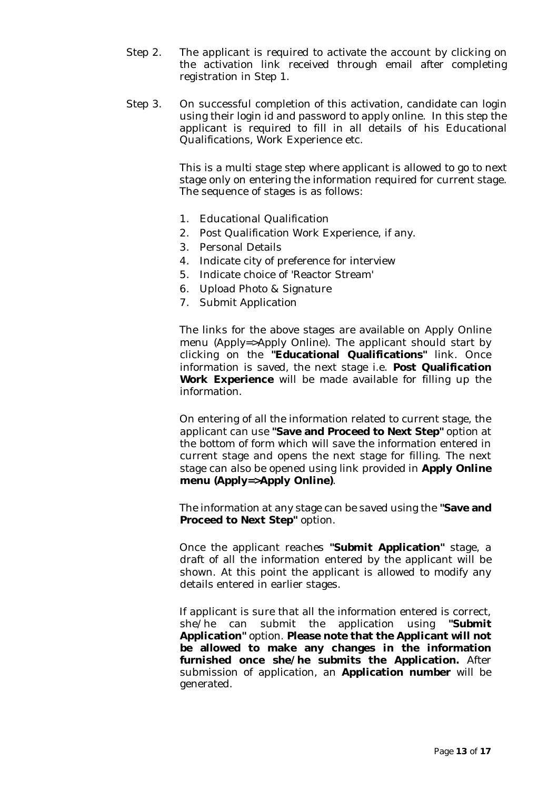- Step 2. The applicant is required to activate the account by clicking on the activation link received through email after completing registration in Step 1.
- Step 3. On successful completion of this activation, candidate can login using their login id and password to apply online. In this step the applicant is required to fill in all details of his Educational Qualifications, Work Experience etc.

This is a multi stage step where applicant is allowed to go to next stage only on entering the information required for current stage. The sequence of stages is as follows:

- 1. Educational Qualification
- 2. Post Qualification Work Experience, if any.
- 3. Personal Details
- 4. Indicate city of preference for interview
- 5. Indicate choice of 'Reactor Stream'
- 6. Upload Photo & Signature
- 7. Submit Application

The links for the above stages are available on Apply Online menu (Apply=>Apply Online). The applicant should start by clicking on the **"Educational Qualifications"** link. Once information is saved, the next stage i.e. **Post Qualification Work Experience** will be made available for filling up the information.

On entering of all the information related to current stage, the applicant can use **"Save and Proceed to Next Step"** option at the bottom of form which will save the information entered in current stage and opens the next stage for filling. The next stage can also be opened using link provided in **Apply Online menu (Apply=>Apply Online)**.

The information at any stage can be saved using the **"Save and Proceed to Next Step"** option.

Once the applicant reaches **"Submit Application"** stage, a draft of all the information entered by the applicant will be shown. At this point the applicant is allowed to modify any details entered in earlier stages.

If applicant is sure that all the information entered is correct, she/he can submit the application using **"Submit Application"** option. **Please note that the Applicant will not be allowed to make any changes in the information furnished once she/he submits the Application.** After submission of application, an **Application number** will be generated.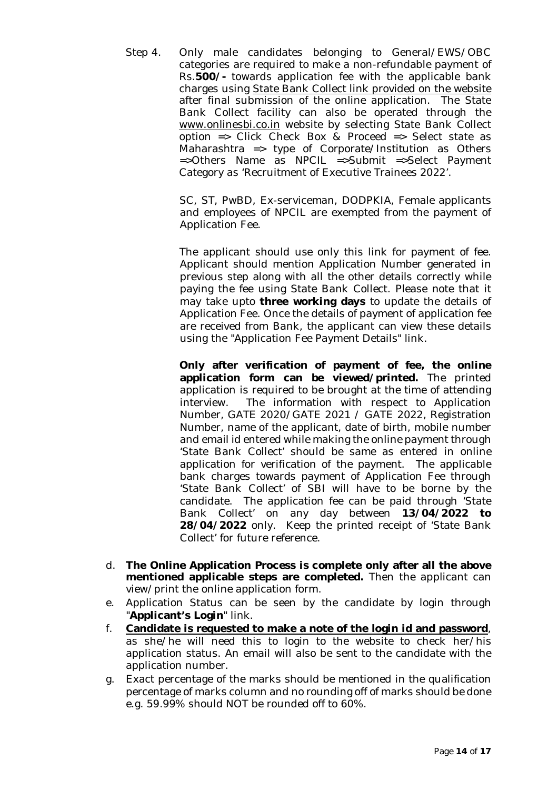Step 4. Only male candidates belonging to General/EWS/OBC categories are required to make a non-refundable payment of Rs.**500/-** towards application fee with the applicable bank charges using State Bank Collect link provided on the website after final submission of the online application. The State Bank Collect facility can also be operated through the www.onlinesbi.co.in website by selecting State Bank Collect option => Click Check Box & Proceed => Select state as Maharashtra => type of Corporate/Institution as Others =>Others Name as NPCIL =>Submit =>Select Payment Category as 'Recruitment of Executive Trainees 2022'.

> SC, ST, PwBD, Ex-serviceman, DODPKIA, Female applicants and employees of NPCIL are exempted from the payment of Application Fee.

> The applicant should use only this link for payment of fee. Applicant should mention Application Number generated in previous step along with all the other details correctly while paying the fee using State Bank Collect. Please note that it may take upto **three working days** to update the details of Application Fee. Once the details of payment of application fee are received from Bank, the applicant can view these details using the "Application Fee Payment Details" link.

> **Only after verification of payment of fee, the online application form can be viewed/printed.** The printed application is required to be brought at the time of attending interview. The information with respect to Application Number, GATE 2020/GATE 2021 / GATE 2022, Registration Number, name of the applicant, date of birth, mobile number and email id entered while making the online payment through 'State Bank Collect' should be same as entered in online application for verification of the payment. The applicable bank charges towards payment of Application Fee through 'State Bank Collect' of SBI will have to be borne by the candidate. The application fee can be paid through 'State Bank Collect' on any day between **13/04/2022 to 28/04/2022** only. Keep the printed receipt of 'State Bank Collect' for future reference.

- d. **The Online Application Process is complete only after all the above mentioned applicable steps are completed.** Then the applicant can view/print the online application form.
- e. Application Status can be seen by the candidate by login through "**Applicant's Login**" link.
- f. **Candidate is requested to make a note of the login id and password**, as she/he will need this to login to the website to check her/his application status. An email will also be sent to the candidate with the application number.
- g. Exact percentage of the marks should be mentioned in the qualification percentage of marks column and no rounding off of marks should be done e.g. 59.99% should NOT be rounded off to 60%.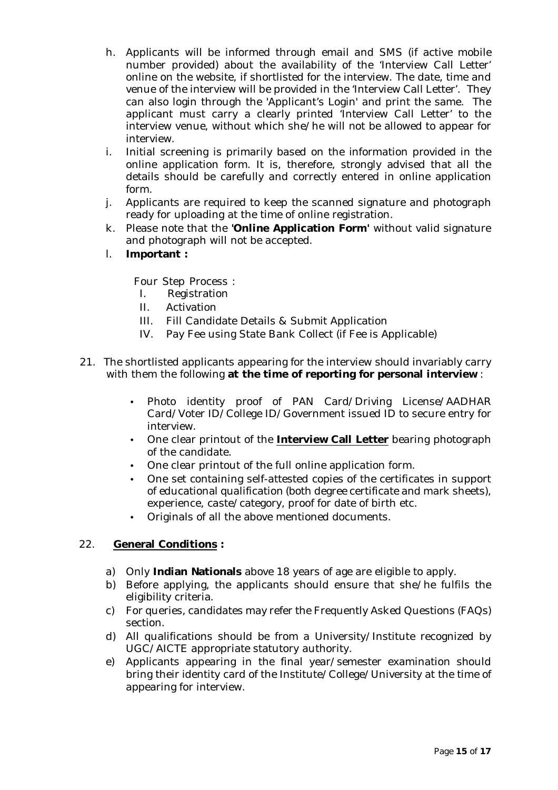- h. Applicants will be informed through email and SMS (if active mobile number provided) about the availability of the 'Interview Call Letter' online on the website, if shortlisted for the interview. The date, time and venue of the interview will be provided in the 'Interview Call Letter'. They can also login through the 'Applicant's Login' and print the same. The applicant must carry a clearly printed 'Interview Call Letter' to the interview venue, without which she/he will not be allowed to appear for interview.
- i. Initial screening is primarily based on the information provided in the online application form. It is, therefore, strongly advised that all the details should be carefully and correctly entered in online application form.
- j. Applicants are required to keep the scanned signature and photograph ready for uploading at the time of online registration.
- k. Please note that the **'Online Application Form'** without valid signature and photograph will not be accepted.
- l. **Important :**

Four Step Process :

- I. Registration
- II. Activation
- III. Fill Candidate Details & Submit Application
- IV. Pay Fee using State Bank Collect (if Fee is Applicable)
- 21. The shortlisted applicants appearing for the interview should invariably carry with them the following **at the time of reporting for personal interview** :
	- Photo identity proof of PAN Card/Driving License/AADHAR Card/Voter ID/College ID/Government issued ID to secure entry for interview.
	- One clear printout of the **Interview Call Letter** bearing photograph of the candidate.
	- One clear printout of the full online application form.
	- One set containing self-attested copies of the certificates in support of educational qualification (both degree certificate and mark sheets), experience, caste/category, proof for date of birth etc.
	- Originals of all the above mentioned documents.

# 22. **General Conditions :**

- a) Only **Indian Nationals** above 18 years of age are eligible to apply.
- b) Before applying, the applicants should ensure that she/he fulfils the eligibility criteria.
- c) For queries, candidates may refer the Frequently Asked Questions (FAQs) section.
- d) All qualifications should be from a University/Institute recognized by UGC/AICTE appropriate statutory authority.
- e) Applicants appearing in the final year/semester examination should bring their identity card of the Institute/College/University at the time of appearing for interview.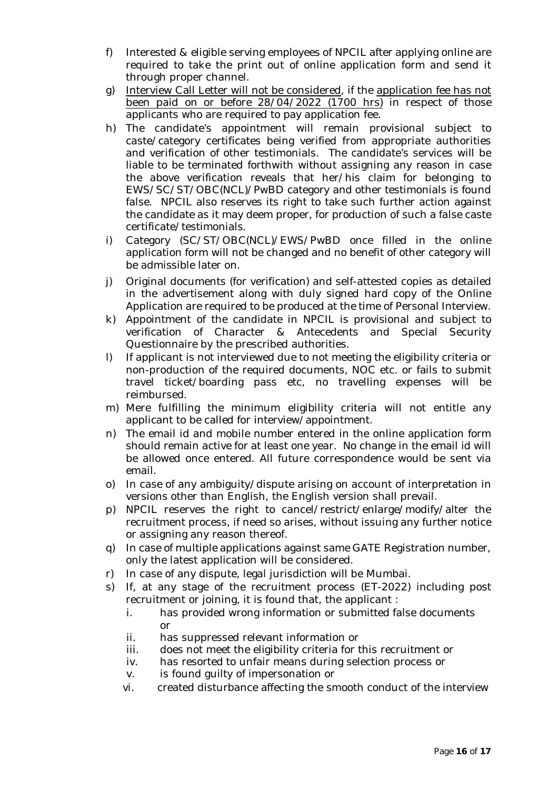- f) Interested & eligible serving employees of NPCIL after applying online are required to take the print out of online application form and send it through proper channel.
- g) Interview Call Letter will not be considered, if the application fee has not been paid on or before 28/04/2022 (1700 hrs) in respect of those applicants who are required to pay application fee.
- h) The candidate's appointment will remain provisional subject to caste/category certificates being verified from appropriate authorities and verification of other testimonials. The candidate's services will be liable to be terminated forthwith without assigning any reason in case the above verification reveals that her/his claim for belonging to EWS/SC/ST/OBC(NCL)/PwBD category and other testimonials is found false. NPCIL also reserves its right to take such further action against the candidate as it may deem proper, for production of such a false caste certificate/testimonials.
- i) Category (SC/ST/OBC(NCL)/EWS/PwBD once filled in the online application form will not be changed and no benefit of other category will be admissible later on.
- j) Original documents (for verification) and self-attested copies as detailed in the advertisement along with duly signed hard copy of the Online Application are required to be produced at the time of Personal Interview.
- k) Appointment of the candidate in NPCIL is provisional and subject to verification of Character & Antecedents and Special Security Questionnaire by the prescribed authorities.
- l) If applicant is not interviewed due to not meeting the eligibility criteria or non-production of the required documents, NOC etc. or fails to submit travel ticket/boarding pass etc, no travelling expenses will be reimbursed.
- m) Mere fulfilling the minimum eligibility criteria will not entitle any applicant to be called for interview/appointment.
- n) The email id and mobile number entered in the online application form should remain active for at least one year. No change in the email id will be allowed once entered. All future correspondence would be sent via email.
- o) In case of any ambiguity/dispute arising on account of interpretation in versions other than English, the English version shall prevail.
- p) NPCIL reserves the right to cancel/restrict/enlarge/modify/alter the recruitment process, if need so arises, without issuing any further notice or assigning any reason thereof.
- q) In case of multiple applications against same GATE Registration number, only the latest application will be considered.
- r) In case of any dispute, legal jurisdiction will be Mumbai.
- s) If, at any stage of the recruitment process (ET-2022) including post recruitment or joining, it is found that, the applicant :
	- i. has provided wrong information or submitted false documents or
	- ii. has suppressed relevant information or
	- iii. does not meet the eligibility criteria for this recruitment or
	- iv. has resorted to unfair means during selection process or
	- v. is found guilty of impersonation or
	- vi. created disturbance affecting the smooth conduct of the interview